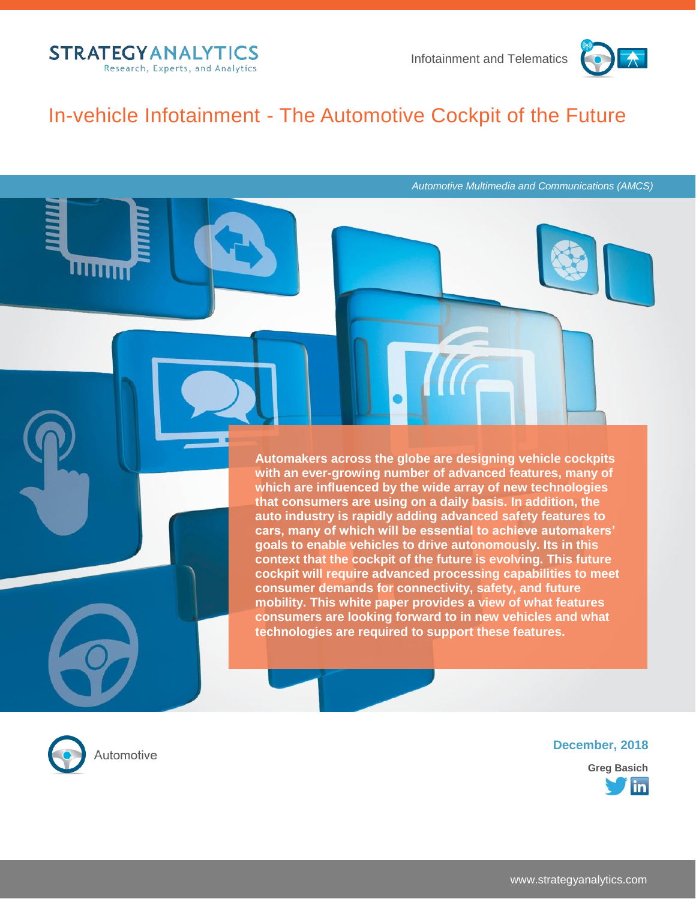

llit



### In-vehicle Infotainment - The Automotive Cockpit of the Future

*Automotive Multimedia and Communications (AMCS)*

**Automakers across the globe are designing vehicle cockpits with an ever-growing number of advanced features, many of which are influenced by the wide array of new technologies that consumers are using on a daily basis. In addition, the auto industry is rapidly adding advanced safety features to cars, many of which will be essential to achieve automakers' goals to enable vehicles to drive autonomously. Its in this context that the cockpit of the future is evolving. This future cockpit will require advanced processing capabilities to meet consumer demands for connectivity, safety, and future mobility. This white paper provides a view of what features consumers are looking forward to in new vehicles and what technologies are required to support these features.**

Automotive

**December, 2018**

**Greg Basich** inl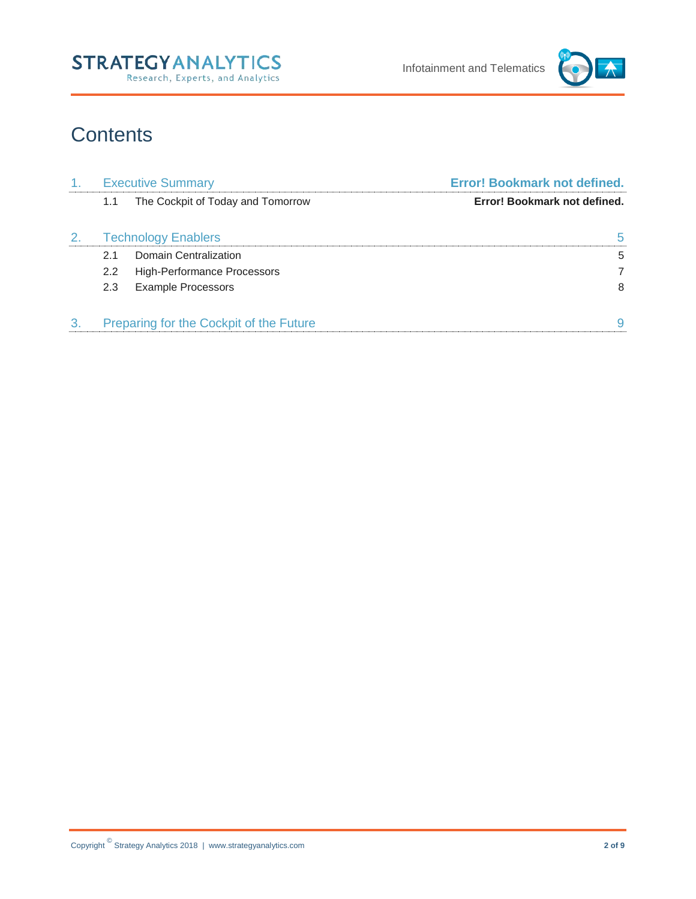



# **Contents**

| $\mathbf{1}$ . | <b>Executive Summary</b>                |                                   | <b>Error! Bookmark not defined.</b> |
|----------------|-----------------------------------------|-----------------------------------|-------------------------------------|
|                | 1.1                                     | The Cockpit of Today and Tomorrow | Error! Bookmark not defined.        |
|                | <b>Technology Enablers</b>              |                                   | 5                                   |
|                | 2.1                                     | Domain Centralization             | 5                                   |
|                | 2.2                                     | High-Performance Processors       | 7                                   |
|                | 2.3                                     | <b>Example Processors</b>         | 8                                   |
| 3.             | Preparing for the Cockpit of the Future |                                   | 9                                   |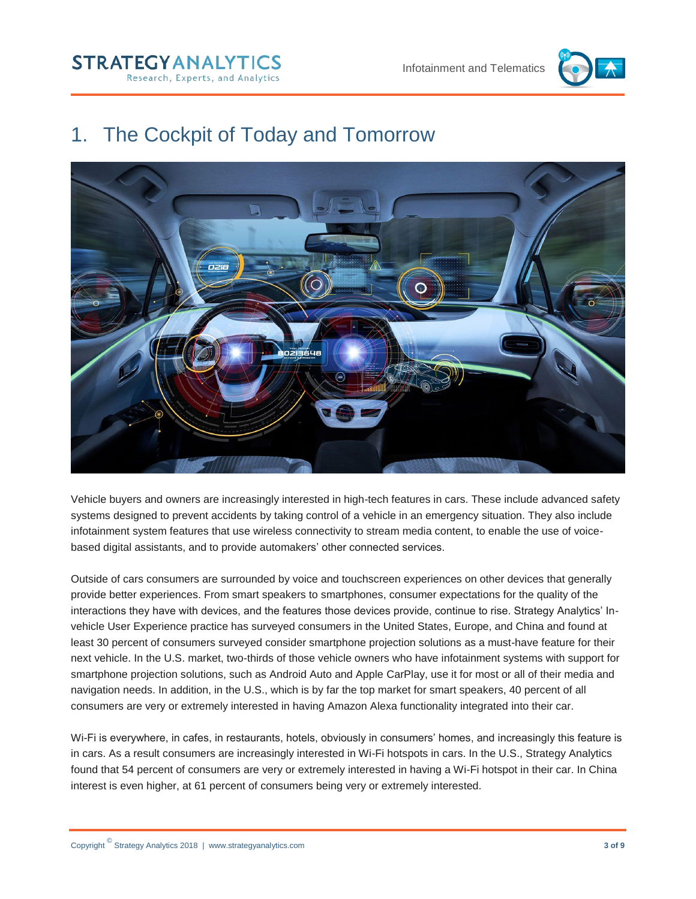#### **STRATEGY AN ALYTICS** Research, Experts, and Analytics



## 1. The Cockpit of Today and Tomorrow



Vehicle buyers and owners are increasingly interested in high-tech features in cars. These include advanced safety systems designed to prevent accidents by taking control of a vehicle in an emergency situation. They also include infotainment system features that use wireless connectivity to stream media content, to enable the use of voicebased digital assistants, and to provide automakers' other connected services.

Outside of cars consumers are surrounded by voice and touchscreen experiences on other devices that generally provide better experiences. From smart speakers to smartphones, consumer expectations for the quality of the interactions they have with devices, and the features those devices provide, continue to rise. Strategy Analytics' Invehicle User Experience practice has surveyed consumers in the United States, Europe, and China and found at least 30 percent of consumers surveyed consider smartphone projection solutions as a must-have feature for their next vehicle. In the U.S. market, two-thirds of those vehicle owners who have infotainment systems with support for smartphone projection solutions, such as Android Auto and Apple CarPlay, use it for most or all of their media and navigation needs. In addition, in the U.S., which is by far the top market for smart speakers, 40 percent of all consumers are very or extremely interested in having Amazon Alexa functionality integrated into their car.

Wi-Fi is everywhere, in cafes, in restaurants, hotels, obviously in consumers' homes, and increasingly this feature is in cars. As a result consumers are increasingly interested in Wi-Fi hotspots in cars. In the U.S., Strategy Analytics found that 54 percent of consumers are very or extremely interested in having a Wi-Fi hotspot in their car. In China interest is even higher, at 61 percent of consumers being very or extremely interested.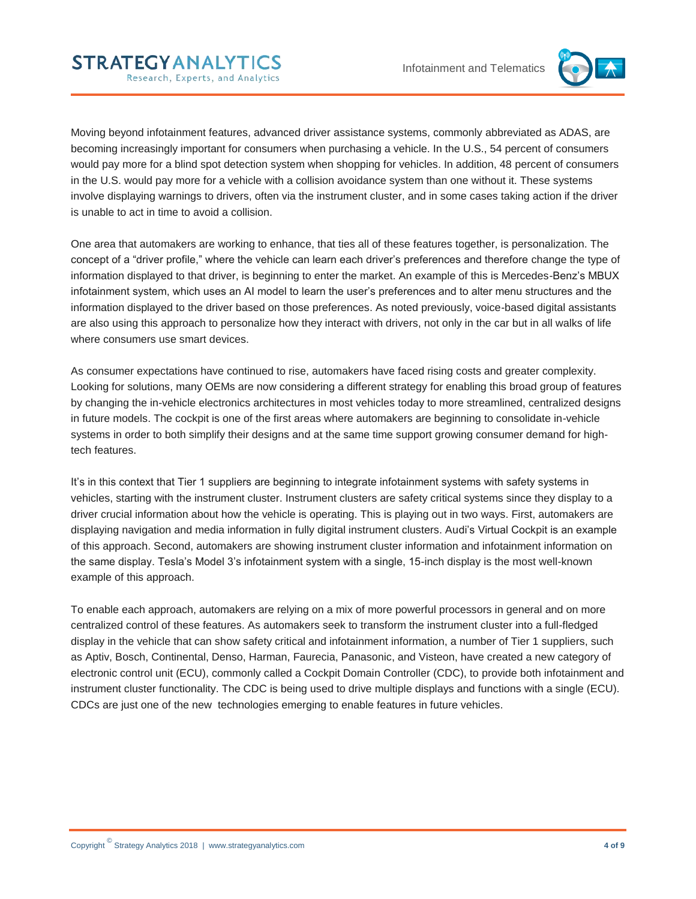

Moving beyond infotainment features, advanced driver assistance systems, commonly abbreviated as ADAS, are becoming increasingly important for consumers when purchasing a vehicle. In the U.S., 54 percent of consumers would pay more for a blind spot detection system when shopping for vehicles. In addition, 48 percent of consumers in the U.S. would pay more for a vehicle with a collision avoidance system than one without it. These systems involve displaying warnings to drivers, often via the instrument cluster, and in some cases taking action if the driver is unable to act in time to avoid a collision.

One area that automakers are working to enhance, that ties all of these features together, is personalization. The concept of a "driver profile," where the vehicle can learn each driver's preferences and therefore change the type of information displayed to that driver, is beginning to enter the market. An example of this is Mercedes-Benz's MBUX infotainment system, which uses an AI model to learn the user's preferences and to alter menu structures and the information displayed to the driver based on those preferences. As noted previously, voice-based digital assistants are also using this approach to personalize how they interact with drivers, not only in the car but in all walks of life where consumers use smart devices.

As consumer expectations have continued to rise, automakers have faced rising costs and greater complexity. Looking for solutions, many OEMs are now considering a different strategy for enabling this broad group of features by changing the in-vehicle electronics architectures in most vehicles today to more streamlined, centralized designs in future models. The cockpit is one of the first areas where automakers are beginning to consolidate in-vehicle systems in order to both simplify their designs and at the same time support growing consumer demand for hightech features.

It's in this context that Tier 1 suppliers are beginning to integrate infotainment systems with safety systems in vehicles, starting with the instrument cluster. Instrument clusters are safety critical systems since they display to a driver crucial information about how the vehicle is operating. This is playing out in two ways. First, automakers are displaying navigation and media information in fully digital instrument clusters. Audi's Virtual Cockpit is an example of this approach. Second, automakers are showing instrument cluster information and infotainment information on the same display. Tesla's Model 3's infotainment system with a single, 15-inch display is the most well-known example of this approach.

To enable each approach, automakers are relying on a mix of more powerful processors in general and on more centralized control of these features. As automakers seek to transform the instrument cluster into a full-fledged display in the vehicle that can show safety critical and infotainment information, a number of Tier 1 suppliers, such as Aptiv, Bosch, Continental, Denso, Harman, Faurecia, Panasonic, and Visteon, have created a new category of electronic control unit (ECU), commonly called a Cockpit Domain Controller (CDC), to provide both infotainment and instrument cluster functionality. The CDC is being used to drive multiple displays and functions with a single (ECU). CDCs are just one of the new technologies emerging to enable features in future vehicles.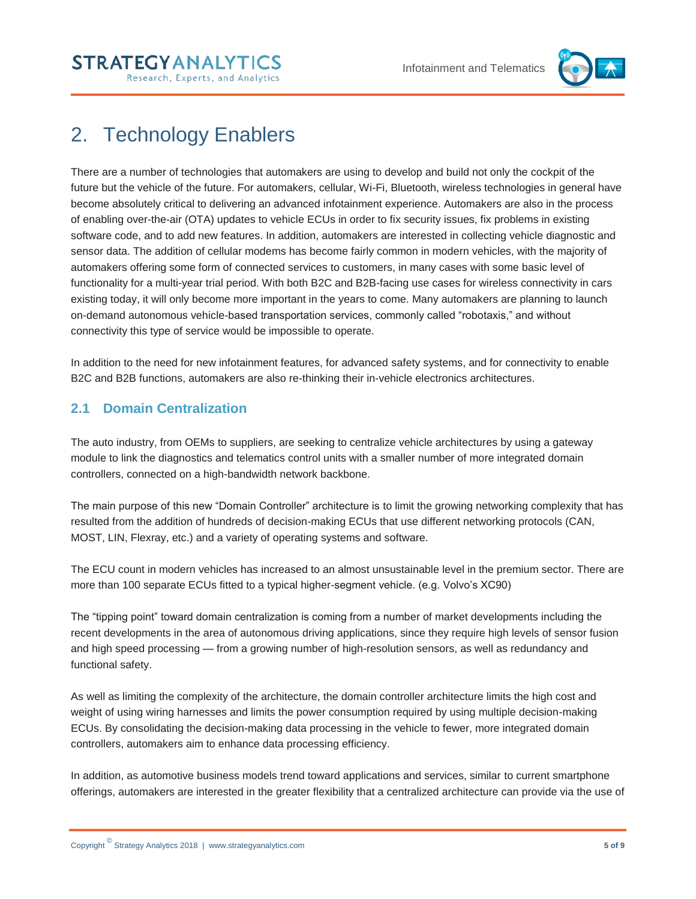

# <span id="page-4-0"></span>2. Technology Enablers

There are a number of technologies that automakers are using to develop and build not only the cockpit of the future but the vehicle of the future. For automakers, cellular, Wi-Fi, Bluetooth, wireless technologies in general have become absolutely critical to delivering an advanced infotainment experience. Automakers are also in the process of enabling over-the-air (OTA) updates to vehicle ECUs in order to fix security issues, fix problems in existing software code, and to add new features. In addition, automakers are interested in collecting vehicle diagnostic and sensor data. The addition of cellular modems has become fairly common in modern vehicles, with the majority of automakers offering some form of connected services to customers, in many cases with some basic level of functionality for a multi-year trial period. With both B2C and B2B-facing use cases for wireless connectivity in cars existing today, it will only become more important in the years to come. Many automakers are planning to launch on-demand autonomous vehicle-based transportation services, commonly called "robotaxis," and without connectivity this type of service would be impossible to operate.

In addition to the need for new infotainment features, for advanced safety systems, and for connectivity to enable B2C and B2B functions, automakers are also re-thinking their in-vehicle electronics architectures.

#### <span id="page-4-1"></span>**2.1 Domain Centralization**

The auto industry, from OEMs to suppliers, are seeking to centralize vehicle architectures by using a gateway module to link the diagnostics and telematics control units with a smaller number of more integrated domain controllers, connected on a high-bandwidth network backbone.

The main purpose of this new "Domain Controller" architecture is to limit the growing networking complexity that has resulted from the addition of hundreds of decision-making ECUs that use different networking protocols (CAN, MOST, LIN, Flexray, etc.) and a variety of operating systems and software.

The ECU count in modern vehicles has increased to an almost unsustainable level in the premium sector. There are more than 100 separate ECUs fitted to a typical higher-segment vehicle. (e.g. Volvo's XC90)

The "tipping point" toward domain centralization is coming from a number of market developments including the recent developments in the area of autonomous driving applications, since they require high levels of sensor fusion and high speed processing — from a growing number of high-resolution sensors, as well as redundancy and functional safety.

As well as limiting the complexity of the architecture, the domain controller architecture limits the high cost and weight of using wiring harnesses and limits the power consumption required by using multiple decision-making ECUs. By consolidating the decision-making data processing in the vehicle to fewer, more integrated domain controllers, automakers aim to enhance data processing efficiency.

In addition, as automotive business models trend toward applications and services, similar to current smartphone offerings, automakers are interested in the greater flexibility that a centralized architecture can provide via the use of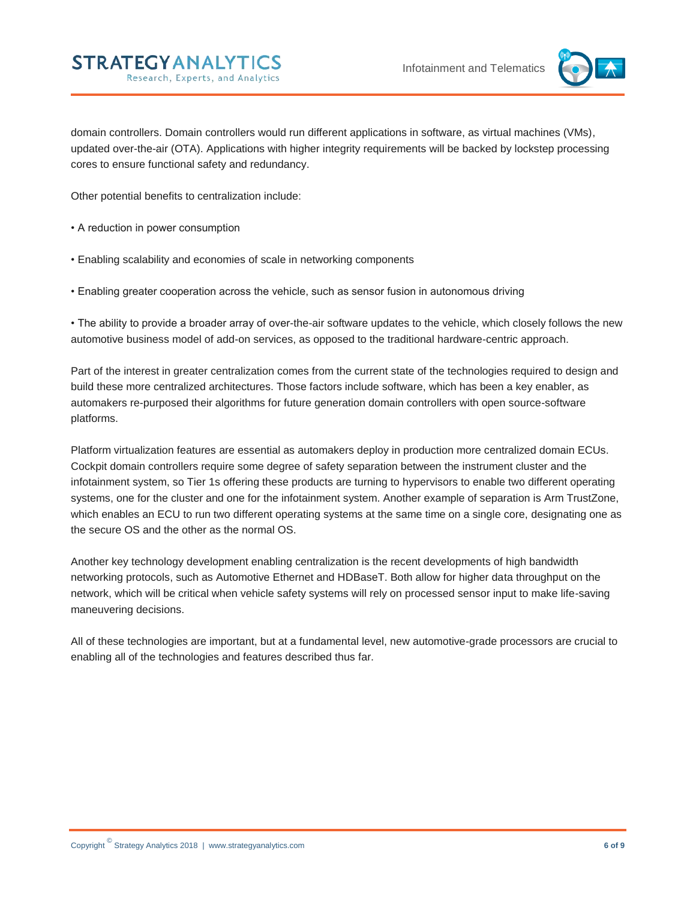#### **STRATEGYANALYTICS** Research, Experts, and Analytics



domain controllers. Domain controllers would run different applications in software, as virtual machines (VMs), updated over-the-air (OTA). Applications with higher integrity requirements will be backed by lockstep processing cores to ensure functional safety and redundancy.

Other potential benefits to centralization include:

- A reduction in power consumption
- Enabling scalability and economies of scale in networking components
- Enabling greater cooperation across the vehicle, such as sensor fusion in autonomous driving

• The ability to provide a broader array of over-the-air software updates to the vehicle, which closely follows the new automotive business model of add-on services, as opposed to the traditional hardware-centric approach.

Part of the interest in greater centralization comes from the current state of the technologies required to design and build these more centralized architectures. Those factors include software, which has been a key enabler, as automakers re-purposed their algorithms for future generation domain controllers with open source-software platforms.

Platform virtualization features are essential as automakers deploy in production more centralized domain ECUs. Cockpit domain controllers require some degree of safety separation between the instrument cluster and the infotainment system, so Tier 1s offering these products are turning to hypervisors to enable two different operating systems, one for the cluster and one for the infotainment system. Another example of separation is Arm TrustZone, which enables an ECU to run two different operating systems at the same time on a single core, designating one as the secure OS and the other as the normal OS.

Another key technology development enabling centralization is the recent developments of high bandwidth networking protocols, such as Automotive Ethernet and HDBaseT. Both allow for higher data throughput on the network, which will be critical when vehicle safety systems will rely on processed sensor input to make life-saving maneuvering decisions.

All of these technologies are important, but at a fundamental level, new automotive-grade processors are crucial to enabling all of the technologies and features described thus far.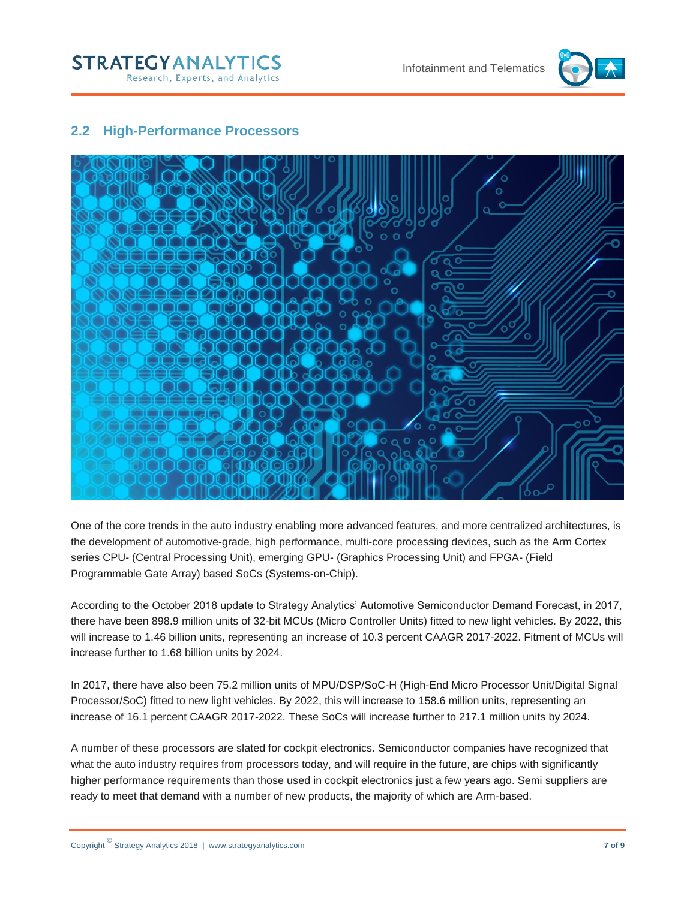



#### <span id="page-6-0"></span>**2.2 High-Performance Processors**



One of the core trends in the auto industry enabling more advanced features, and more centralized architectures, is the development of automotive-grade, high performance, multi-core processing devices, such as the Arm Cortex series CPU- (Central Processing Unit), emerging GPU- (Graphics Processing Unit) and FPGA- (Field Programmable Gate Array) based SoCs (Systems-on-Chip).

According to the October 2018 update to Strategy Analytics' Automotive Semiconductor Demand Forecast, in 2017, there have been 898.9 million units of 32-bit MCUs (Micro Controller Units) fitted to new light vehicles. By 2022, this will increase to 1.46 billion units, representing an increase of 10.3 percent CAAGR 2017-2022. Fitment of MCUs will increase further to 1.68 billion units by 2024.

In 2017, there have also been 75.2 million units of MPU/DSP/SoC-H (High-End Micro Processor Unit/Digital Signal Processor/SoC) fitted to new light vehicles. By 2022, this will increase to 158.6 million units, representing an increase of 16.1 percent CAAGR 2017-2022. These SoCs will increase further to 217.1 million units by 2024.

A number of these processors are slated for cockpit electronics. Semiconductor companies have recognized that what the auto industry requires from processors today, and will require in the future, are chips with significantly higher performance requirements than those used in cockpit electronics just a few years ago. Semi suppliers are ready to meet that demand with a number of new products, the majority of which are Arm-based.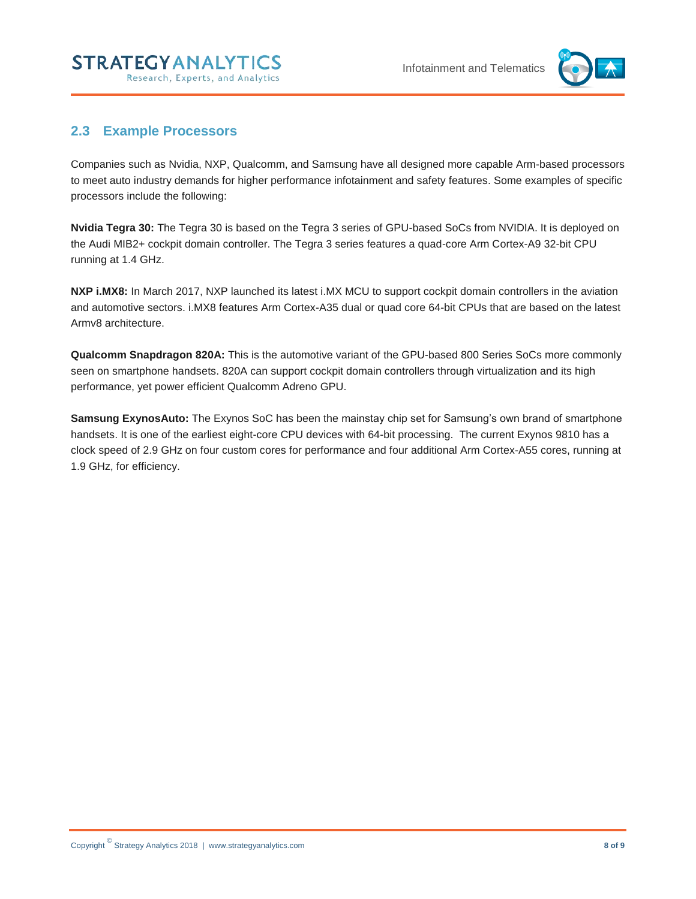#### **STRATEGYANALYTICS** Research, Experts, and Analytics



#### <span id="page-7-0"></span>**2.3 Example Processors**

Companies such as Nvidia, NXP, Qualcomm, and Samsung have all designed more capable Arm-based processors to meet auto industry demands for higher performance infotainment and safety features. Some examples of specific processors include the following:

**Nvidia Tegra 30:** The Tegra 30 is based on the Tegra 3 series of GPU-based SoCs from NVIDIA. It is deployed on the Audi MIB2+ cockpit domain controller. The Tegra 3 series features a quad-core Arm Cortex-A9 32-bit CPU running at 1.4 GHz.

**NXP i.MX8:** In March 2017, NXP launched its latest i.MX MCU to support cockpit domain controllers in the aviation and automotive sectors. i.MX8 features Arm Cortex-A35 dual or quad core 64-bit CPUs that are based on the latest Armv8 architecture.

**Qualcomm Snapdragon 820A:** This is the automotive variant of the GPU-based 800 Series SoCs more commonly seen on smartphone handsets. 820A can support cockpit domain controllers through virtualization and its high performance, yet power efficient Qualcomm Adreno GPU.

**Samsung ExynosAuto:** The Exynos SoC has been the mainstay chip set for Samsung's own brand of smartphone handsets. It is one of the earliest eight-core CPU devices with 64-bit processing. The current Exynos 9810 has a clock speed of 2.9 GHz on four custom cores for performance and four additional Arm Cortex-A55 cores, running at 1.9 GHz, for efficiency.